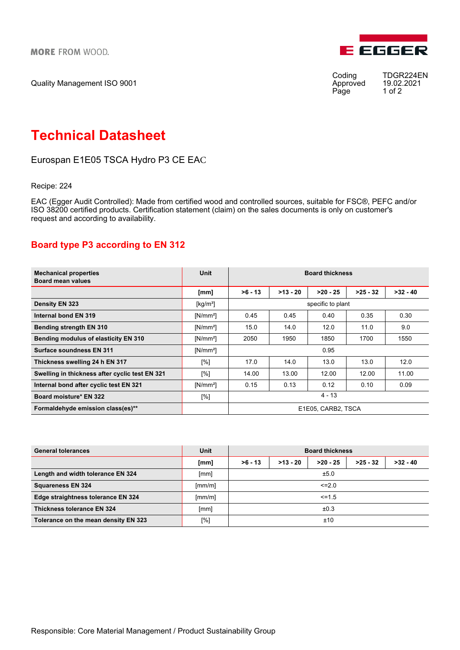Quality Management ISO 9001



Approved 19.02.<br>Page 1 of 2 Page

Coding TDGR224EN<br>Approved 19.02.2021

# Technical Datasheet

Eurospan E1E05 TSCA Hydro P3 CE EAC

Recipe: 224

EAC (Egger Audit Controlled): Made from certified wood and controlled sources, suitable for FSC®, PEFC and/or ISO 38200 certified products. Certification statement (claim) on the sales documents is only on customer's request and according to availability.

## Board type P3 according to EN 312

| <b>Mechanical properties</b><br><b>Board mean values</b> | Unit        | <b>Board thickness</b> |            |            |            |            |  |
|----------------------------------------------------------|-------------|------------------------|------------|------------|------------|------------|--|
|                                                          | [mm]        | $>6 - 13$              | $>13 - 20$ | $>20 - 25$ | $>25 - 32$ | $>32 - 40$ |  |
| Density EN 323                                           | [ $kg/m3$ ] | specific to plant      |            |            |            |            |  |
| Internal bond EN 319                                     | $[N/mm^2]$  | 0.45                   | 0.45       | 0.40       | 0.35       | 0.30       |  |
| <b>Bending strength EN 310</b>                           | $[N/mm^2]$  | 15.0                   | 14.0       | 12.0       | 11.0       | 9.0        |  |
| <b>Bending modulus of elasticity EN 310</b>              | $[N/mm^2]$  | 2050                   | 1950       | 1850       | 1700       | 1550       |  |
| Surface soundness EN 311                                 | $[N/mm^2]$  | 0.95                   |            |            |            |            |  |
| Thickness swelling 24 h EN 317                           | [%]         | 17.0                   | 14.0       | 13.0       | 13.0       | 12.0       |  |
| Swelling in thickness after cyclic test EN 321           | [%]         | 14.00                  | 13.00      | 12.00      | 12.00      | 11.00      |  |
| Internal bond after cyclic test EN 321                   | $[N/mm^2]$  | 0.15                   | 0.13       | 0.12       | 0.10       | 0.09       |  |
| Board moisture* EN 322                                   | [%]         | $4 - 13$               |            |            |            |            |  |
| Formaldehyde emission class(es)**                        |             | E1E05, CARB2, TSCA     |            |            |            |            |  |

| <b>General tolerances</b>            | Unit   | <b>Board thickness</b> |            |            |            |            |  |
|--------------------------------------|--------|------------------------|------------|------------|------------|------------|--|
|                                      | [mm]   | $>6 - 13$              | $>13 - 20$ | $>20 - 25$ | $>25 - 32$ | $>32 - 40$ |  |
| Length and width tolerance EN 324    | [mm]   | ±5.0                   |            |            |            |            |  |
| <b>Squareness EN 324</b>             | [mm/m] | $\leq$ -2.0            |            |            |            |            |  |
| Edge straightness tolerance EN 324   | [mm/m] | $\leq$ = 1.5           |            |            |            |            |  |
| Thickness tolerance EN 324           | [mm]   | ±0.3                   |            |            |            |            |  |
| Tolerance on the mean density EN 323 | [%]    | ±10                    |            |            |            |            |  |